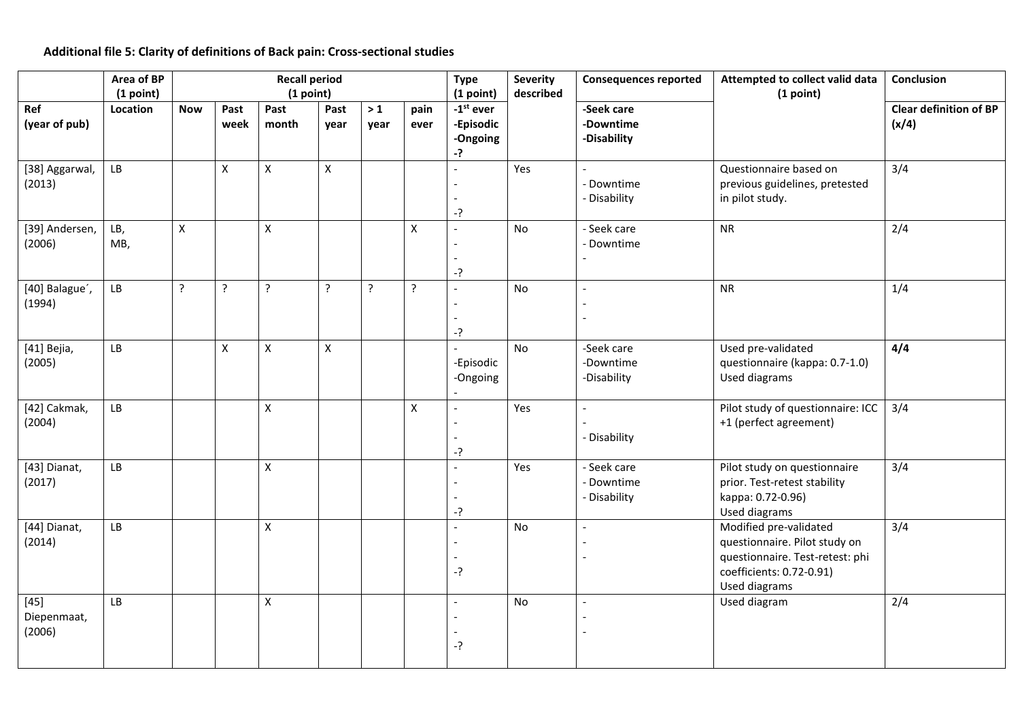## **Additional file 5: Clarity of definitions of Back pain: Cross-sectional studies**

|                                 | Area of BP<br>(1 point) | <b>Recall period</b><br>(1 point) |                    |                    |                    |                |                    | <b>Type</b><br>(1 point)                               | <b>Severity</b><br>described | <b>Consequences reported</b>              | Attempted to collect valid data<br>(1 point)                                                                                            | Conclusion                             |
|---------------------------------|-------------------------|-----------------------------------|--------------------|--------------------|--------------------|----------------|--------------------|--------------------------------------------------------|------------------------------|-------------------------------------------|-----------------------------------------------------------------------------------------------------------------------------------------|----------------------------------------|
| Ref<br>(year of pub)            | Location                | <b>Now</b>                        | Past<br>week       | Past<br>month      | Past<br>year       | $>1$<br>year   | pain<br>ever       | $-1$ <sup>st</sup> ever<br>-Episodic<br>-Ongoing<br>-? |                              | -Seek care<br>-Downtime<br>-Disability    |                                                                                                                                         | <b>Clear definition of BP</b><br>(x/4) |
| [38] Aggarwal,<br>(2013)        | ${\sf LB}$              |                                   | $\pmb{\times}$     | X                  | $\pmb{\mathsf{X}}$ |                |                    | $-?$                                                   | Yes                          | - Downtime<br>- Disability                | Questionnaire based on<br>previous guidelines, pretested<br>in pilot study.                                                             | 3/4                                    |
| [39] Andersen,<br>(2006)        | LB,<br>MB,              | $\mathsf{x}$                      |                    | $\mathsf{x}$       |                    |                | $\pmb{\mathsf{X}}$ | $\overline{a}$<br>$-?$                                 | No                           | - Seek care<br>- Downtime                 | <b>NR</b>                                                                                                                               | 2/4                                    |
| [40] Balague',<br>(1994)        | ${\sf LB}$              | $\tilde{?}$                       | $\overline{?}$     | $\overline{?}$     | $\overline{?}$     | $\overline{?}$ | $\tilde{.}$        | $-?$                                                   | No                           |                                           | <b>NR</b>                                                                                                                               | 1/4                                    |
| [41] Bejia,<br>(2005)           | LB                      |                                   | $\pmb{\mathsf{X}}$ | $\mathsf{x}$       | $\pmb{\times}$     |                |                    | -Episodic<br>-Ongoing                                  | No                           | -Seek care<br>-Downtime<br>-Disability    | Used pre-validated<br>questionnaire (kappa: 0.7-1.0)<br>Used diagrams                                                                   | 4/4                                    |
| [42] Cakmak,<br>(2004)          | LB                      |                                   |                    | X                  |                    |                | X                  | $\overline{a}$<br>$-?$                                 | Yes                          | - Disability                              | Pilot study of questionnaire: ICC<br>+1 (perfect agreement)                                                                             | 3/4                                    |
| [43] Dianat,<br>(2017)          | LB                      |                                   |                    | $\mathsf{x}$       |                    |                |                    | -?                                                     | Yes                          | - Seek care<br>- Downtime<br>- Disability | Pilot study on questionnaire<br>prior. Test-retest stability<br>kappa: 0.72-0.96)<br>Used diagrams                                      | 3/4                                    |
| [44] Dianat,<br>(2014)          | ${\sf LB}$              |                                   |                    | X                  |                    |                |                    | $\overline{a}$<br>$-?$                                 | No                           |                                           | Modified pre-validated<br>questionnaire. Pilot study on<br>questionnaire. Test-retest: phi<br>coefficients: 0.72-0.91)<br>Used diagrams | 3/4                                    |
| $[45]$<br>Diepenmaat,<br>(2006) | LB                      |                                   |                    | $\pmb{\mathsf{X}}$ |                    |                |                    | -?                                                     | No                           | $\overline{a}$                            | Used diagram                                                                                                                            | 2/4                                    |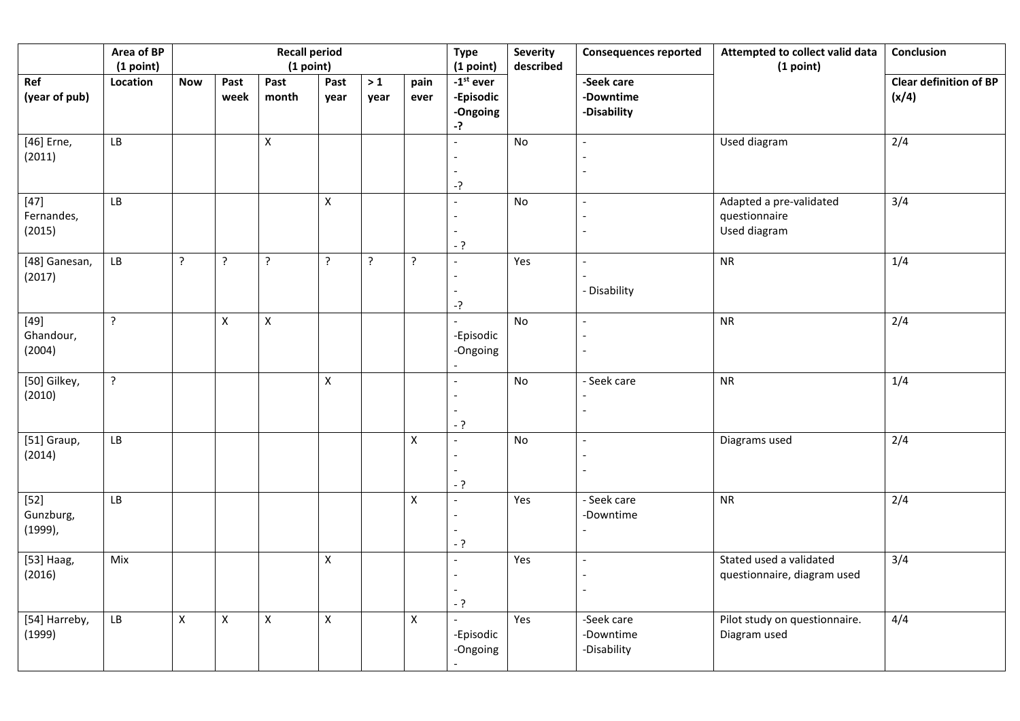|                                   | Area of BP<br><b>Recall period</b><br>(1 point)<br>(1 point) |                    |                |                |                    |                | <b>Type</b><br>(1 point) | Severity<br>described                      | <b>Consequences reported</b> | Attempted to collect valid data<br>(1 point) | <b>Conclusion</b>                                        |                                        |
|-----------------------------------|--------------------------------------------------------------|--------------------|----------------|----------------|--------------------|----------------|--------------------------|--------------------------------------------|------------------------------|----------------------------------------------|----------------------------------------------------------|----------------------------------------|
| Ref<br>(year of pub)              | Location                                                     | <b>Now</b>         | Past<br>week   | Past<br>month  | Past<br>year       | $>1$<br>year   | pain<br>ever             | $-1st$ ever<br>-Episodic<br>-Ongoing<br>-? |                              | -Seek care<br>-Downtime<br>-Disability       |                                                          | <b>Clear definition of BP</b><br>(x/4) |
| [46] Erne,<br>(2011)              | LB                                                           |                    |                | $\pmb{\times}$ |                    |                |                          | -?                                         | No                           |                                              | Used diagram                                             | 2/4                                    |
| $[47]$<br>Fernandes,<br>(2015)    | LB                                                           |                    |                |                | $\mathsf{X}$       |                |                          | $-?$                                       | No                           |                                              | Adapted a pre-validated<br>questionnaire<br>Used diagram | 3/4                                    |
| [48] Ganesan,<br>(2017)           | LB                                                           | $\tilde{?}$        | $\overline{?}$ | $\cdot$        | $\ddot{?}$         | $\overline{?}$ | ?                        | -?                                         | Yes                          | - Disability                                 | <b>NR</b>                                                | 1/4                                    |
| $[49]$<br>Ghandour,<br>(2004)     | $\overline{?}$                                               |                    | $\mathsf X$    | $\mathsf X$    |                    |                |                          | -Episodic<br>-Ongoing                      | <b>No</b>                    |                                              | <b>NR</b>                                                | 2/4                                    |
| [50] Gilkey,<br>(2010)            | ?                                                            |                    |                |                | X                  |                |                          | $-?$                                       | $\mathsf{No}$                | - Seek care                                  | <b>NR</b>                                                | 1/4                                    |
| [51] Graup,<br>(2014)             | LB                                                           |                    |                |                |                    |                | $\mathsf X$              | $-?$                                       | No                           |                                              | Diagrams used                                            | 2/4                                    |
| $[52]$<br>Gunzburg,<br>$(1999)$ , | LB                                                           |                    |                |                |                    |                | $\mathsf X$              | $-?$                                       | Yes                          | - Seek care<br>-Downtime                     | ${\sf NR}$                                               | 2/4                                    |
| [53] Haag,<br>(2016)              | Mix                                                          |                    |                |                | $\pmb{\mathsf{X}}$ |                |                          | $-?$                                       | Yes                          |                                              | Stated used a validated<br>questionnaire, diagram used   | 3/4                                    |
| [54] Harreby,<br>(1999)           | LB                                                           | $\pmb{\mathsf{X}}$ | $\mathsf X$    | $\mathsf X$    | $\pmb{\mathsf{X}}$ |                | $\mathsf X$              | -Episodic<br>-Ongoing                      | Yes                          | -Seek care<br>-Downtime<br>-Disability       | Pilot study on questionnaire.<br>Diagram used            | 4/4                                    |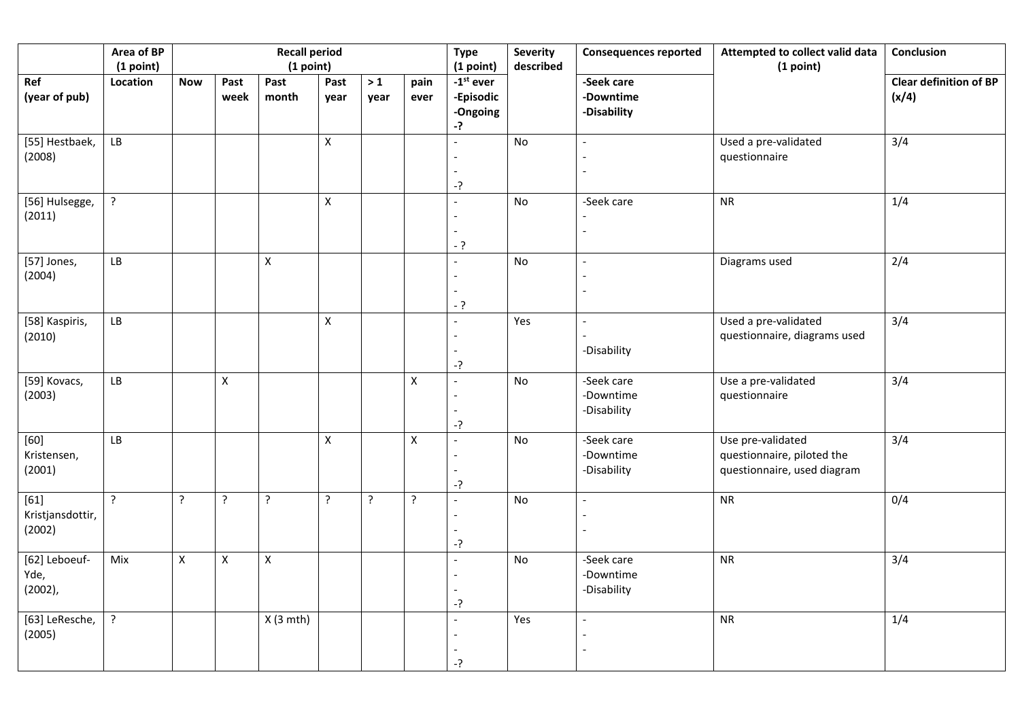|                                      | Area of BP<br>(1 point) | <b>Recall period</b><br>(1 point) |                    |                |                    |                |                    | <b>Type</b><br>(1 point)                     | <b>Severity</b><br>described | <b>Consequences reported</b>           | Attempted to collect valid data<br>(1 point)                                   | Conclusion                             |
|--------------------------------------|-------------------------|-----------------------------------|--------------------|----------------|--------------------|----------------|--------------------|----------------------------------------------|------------------------------|----------------------------------------|--------------------------------------------------------------------------------|----------------------------------------|
| Ref<br>(year of pub)                 | Location                | <b>Now</b>                        | Past<br>week       | Past<br>month  | Past<br>year       | $>1$<br>year   | pain<br>ever       | $-1st$ ever<br>-Episodic<br>-Ongoing<br>$-?$ |                              | -Seek care<br>-Downtime<br>-Disability |                                                                                | <b>Clear definition of BP</b><br>(x/4) |
| [55] Hestbaek,<br>(2008)             | ${\sf LB}$              |                                   |                    |                | $\mathsf{X}$       |                |                    | -?                                           | No                           |                                        | Used a pre-validated<br>questionnaire                                          | 3/4                                    |
| [56] Hulsegge,<br>(2011)             | ?                       |                                   |                    |                | $\mathsf{X}$       |                |                    | $-?$                                         | No                           | -Seek care                             | NR                                                                             | 1/4                                    |
| [57] Jones,<br>(2004)                | LB                      |                                   |                    | $\mathsf X$    |                    |                |                    | - ?                                          | No                           |                                        | Diagrams used                                                                  | 2/4                                    |
| [58] Kaspiris,<br>(2010)             | LB                      |                                   |                    |                | $\pmb{\mathsf{X}}$ |                |                    | $-?$                                         | Yes                          | -Disability                            | Used a pre-validated<br>questionnaire, diagrams used                           | 3/4                                    |
| [59] Kovacs,<br>(2003)               | ${\sf LB}$              |                                   | $\pmb{\mathsf{X}}$ |                |                    |                | $\pmb{\mathsf{X}}$ | -?                                           | No                           | -Seek care<br>-Downtime<br>-Disability | Use a pre-validated<br>questionnaire                                           | 3/4                                    |
| $[60]$<br>Kristensen,<br>(2001)      | $\mathsf{L}\mathsf{B}$  |                                   |                    |                | $\mathsf X$        |                | $\mathsf X$        | $-?$                                         | No                           | -Seek care<br>-Downtime<br>-Disability | Use pre-validated<br>questionnaire, piloted the<br>questionnaire, used diagram | 3/4                                    |
| $[61]$<br>Kristjansdottir,<br>(2002) | $\tilde{?}$             | $\tilde{.}$                       | $\tilde{.}$        | $\tilde{.}$    | $\overline{?}$     | $\overline{?}$ | $\tilde{?}$        | $-?$                                         | $\mathsf{No}$                |                                        | ${\sf NR}$                                                                     | 0/4                                    |
| [62] Leboeuf-<br>Yde,<br>$(2002)$ ,  | Mix                     | $\mathsf{X}$                      | $\pmb{\mathsf{X}}$ | $\pmb{\times}$ |                    |                |                    | $-2$                                         | No                           | -Seek care<br>-Downtime<br>-Disability | <b>NR</b>                                                                      | 3/4                                    |
| [63] LeResche,<br>(2005)             | $\overline{?}$          |                                   |                    | $X(3$ mth)     |                    |                |                    | -?                                           | Yes                          |                                        | <b>NR</b>                                                                      | 1/4                                    |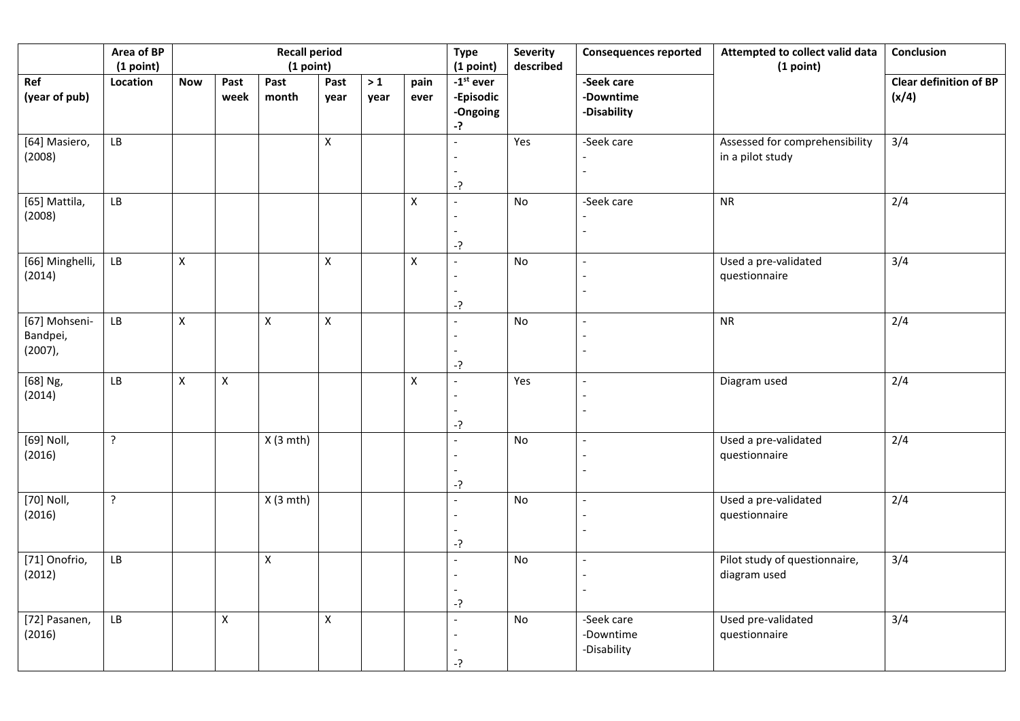|                                         | Area of BP<br>(1 point) | <b>Recall period</b><br>(1 point) |                    |                |                |              |                    | <b>Type</b><br>(1 point)                     | <b>Severity</b><br>described | <b>Consequences reported</b>           | Attempted to collect valid data<br>(1 point)       | Conclusion                             |
|-----------------------------------------|-------------------------|-----------------------------------|--------------------|----------------|----------------|--------------|--------------------|----------------------------------------------|------------------------------|----------------------------------------|----------------------------------------------------|----------------------------------------|
| Ref<br>(year of pub)                    | Location                | <b>Now</b>                        | Past<br>week       | Past<br>month  | Past<br>year   | $>1$<br>year | pain<br>ever       | $-1st$ ever<br>-Episodic<br>-Ongoing<br>$-?$ |                              | -Seek care<br>-Downtime<br>-Disability |                                                    | <b>Clear definition of BP</b><br>(x/4) |
| [64] Masiero,<br>(2008)                 | $\mathsf{L}\mathsf{B}$  |                                   |                    |                | $\mathsf{X}$   |              |                    | -?                                           | Yes                          | -Seek care                             | Assessed for comprehensibility<br>in a pilot study | 3/4                                    |
| [65] Mattila,<br>(2008)                 | ${\sf LB}$              |                                   |                    |                |                |              | $\pmb{\mathsf{X}}$ | $-?$                                         | No                           | -Seek care                             | <b>NR</b>                                          | 2/4                                    |
| [66] Minghelli,<br>(2014)               | ${\sf LB}$              | $\pmb{\times}$                    |                    |                | $\mathsf{X}$   |              | $\pmb{\mathsf{X}}$ | -?                                           | No                           |                                        | Used a pre-validated<br>questionnaire              | 3/4                                    |
| [67] Mohseni-<br>Bandpei,<br>$(2007)$ , | ${\sf LB}$              | $\mathsf{X}$                      |                    | $\pmb{\times}$ | $\pmb{\times}$ |              |                    | -?                                           | No                           |                                        | <b>NR</b>                                          | 2/4                                    |
| [68] Ng,<br>(2014)                      | ${\sf LB}$              | $\pmb{\times}$                    | $\pmb{\mathsf{X}}$ |                |                |              | $\mathsf X$        | $\overline{a}$<br>$-?$                       | Yes                          |                                        | Diagram used                                       | 2/4                                    |
| [69] Noll,<br>(2016)                    | $\tilde{?}$             |                                   |                    | $X(3$ mth)     |                |              |                    | $-?$                                         | No                           |                                        | Used a pre-validated<br>questionnaire              | 2/4                                    |
| [70] Noll,<br>(2016)                    | $\tilde{?}$             |                                   |                    | $X(3$ mth)     |                |              |                    | -?                                           | No                           |                                        | Used a pre-validated<br>questionnaire              | 2/4                                    |
| [71] Onofrio,<br>(2012)                 | ${\sf LB}$              |                                   |                    | X              |                |              |                    | $-?$                                         | No                           |                                        | Pilot study of questionnaire,<br>diagram used      | 3/4                                    |
| [72] Pasanen,<br>(2016)                 | ${\sf LB}$              |                                   | $\pmb{\times}$     |                | $\mathsf{X}$   |              |                    | -?                                           | No                           | -Seek care<br>-Downtime<br>-Disability | Used pre-validated<br>questionnaire                | 3/4                                    |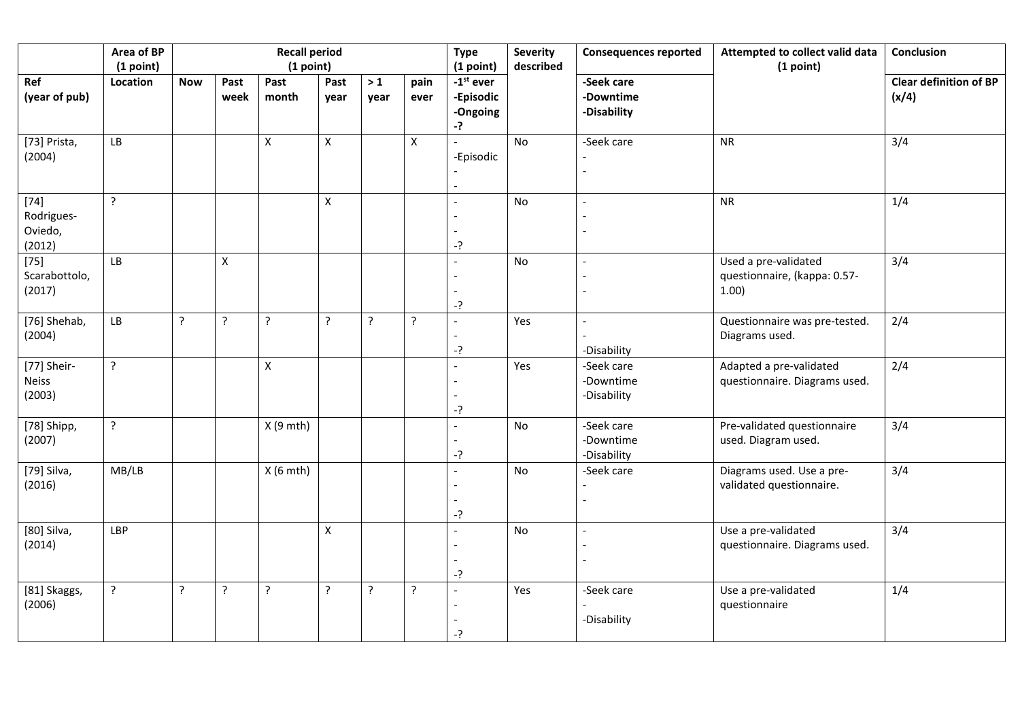|                                           | Area of BP<br>(1 point) | <b>Recall period</b><br>(1 point) |                    |               |                |                |                | <b>Type</b><br>(1 point)                   | <b>Severity</b><br>described | <b>Consequences reported</b>           | Attempted to collect valid data<br>(1 point)                  | Conclusion                             |
|-------------------------------------------|-------------------------|-----------------------------------|--------------------|---------------|----------------|----------------|----------------|--------------------------------------------|------------------------------|----------------------------------------|---------------------------------------------------------------|----------------------------------------|
| Ref<br>(year of pub)                      | Location                | <b>Now</b>                        | Past<br>week       | Past<br>month | Past<br>year   | $>1$<br>year   | pain<br>ever   | $-1st$ ever<br>-Episodic<br>-Ongoing<br>-? |                              | -Seek care<br>-Downtime<br>-Disability |                                                               | <b>Clear definition of BP</b><br>(x/4) |
| [73] Prista,<br>(2004)                    | LB                      |                                   |                    | X             | $\mathsf{X}$   |                | $\mathsf X$    | -Episodic                                  | No                           | -Seek care                             | <b>NR</b>                                                     | 3/4                                    |
| $[74]$<br>Rodrigues-<br>Oviedo,<br>(2012) | $\overline{?}$          |                                   |                    |               | X              |                |                | $-?$                                       | No                           |                                        | ${\sf NR}$                                                    | 1/4                                    |
| $[75]$<br>Scarabottolo,<br>(2017)         | LB                      |                                   | $\pmb{\mathsf{X}}$ |               |                |                |                | -?                                         | No                           |                                        | Used a pre-validated<br>questionnaire, (kappa: 0.57-<br>1.00) | 3/4                                    |
| [76] Shehab,<br>(2004)                    | LB                      | $\tilde{.}$                       | ?                  | ?             | $\overline{?}$ | $\overline{?}$ | $\overline{?}$ | -?                                         | Yes                          | -Disability                            | Questionnaire was pre-tested.<br>Diagrams used.               | 2/4                                    |
| [77] Sheir-<br><b>Neiss</b><br>(2003)     | ?                       |                                   |                    | X             |                |                |                | -?                                         | Yes                          | -Seek care<br>-Downtime<br>-Disability | Adapted a pre-validated<br>questionnaire. Diagrams used.      | 2/4                                    |
| [78] Shipp,<br>(2007)                     | <sup>2</sup>            |                                   |                    | $X(9$ mth)    |                |                |                | -?                                         | No                           | -Seek care<br>-Downtime<br>-Disability | Pre-validated questionnaire<br>used. Diagram used.            | 3/4                                    |
| [79] Silva,<br>(2016)                     | MB/LB                   |                                   |                    | $X(6$ mth)    |                |                |                | -?                                         | No                           | -Seek care                             | Diagrams used. Use a pre-<br>validated questionnaire.         | 3/4                                    |
| [80] Silva,<br>(2014)                     | LBP                     |                                   |                    |               | $\mathsf{X}$   |                |                | -?                                         | No                           |                                        | Use a pre-validated<br>questionnaire. Diagrams used.          | $\overline{3/4}$                       |
| [81] Skaggs,<br>(2006)                    | ?                       | ?                                 | ?                  | ?             | ?              | $\tilde{.}$    | ?              | -?                                         | Yes                          | -Seek care<br>-Disability              | Use a pre-validated<br>questionnaire                          | 1/4                                    |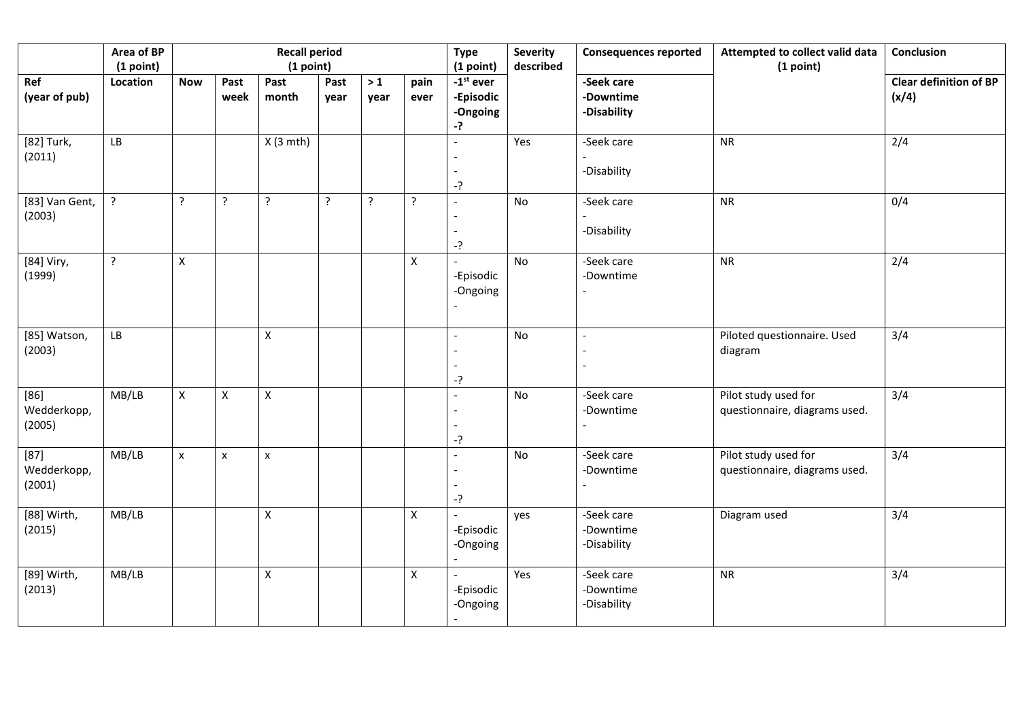|                                 | Area of BP<br>(1 point) |                    |                    | <b>Recall period</b><br>(1 point) |              |                |                | Conclusion                                              |     |                                        |                                                       |                                        |
|---------------------------------|-------------------------|--------------------|--------------------|-----------------------------------|--------------|----------------|----------------|---------------------------------------------------------|-----|----------------------------------------|-------------------------------------------------------|----------------------------------------|
| Ref<br>(year of pub)            | Location                | <b>Now</b>         | Past<br>week       | Past<br>month                     | Past<br>year | $>1$<br>year   | pain<br>ever   | (1 point)<br>$-1st$ ever<br>-Episodic<br>-Ongoing<br>-? |     | -Seek care<br>-Downtime<br>-Disability |                                                       | <b>Clear definition of BP</b><br>(x/4) |
| [82] Turk,<br>(2011)            | LB                      |                    |                    | $X(3$ mth)                        |              |                |                | $-?$                                                    | Yes | -Seek care<br>-Disability              | <b>NR</b>                                             | 2/4                                    |
| [83] Van Gent,<br>(2003)        | $\tilde{.}$             | $\cdot$            | ?                  | $\cdot$                           | $\ddot{?}$   | $\overline{?}$ | $\overline{?}$ | $-?$                                                    | No  | -Seek care<br>-Disability              | <b>NR</b>                                             | 0/4                                    |
| [84] Viry,<br>(1999)            | $\overline{?}$          | $\pmb{\mathsf{X}}$ |                    |                                   |              |                | $\mathsf X$    | -Episodic<br>-Ongoing                                   | No  | -Seek care<br>-Downtime                | <b>NR</b>                                             | 2/4                                    |
| [85] Watson,<br>(2003)          | LB                      |                    |                    | $\pmb{\mathsf{X}}$                |              |                |                | $-?$                                                    | No  |                                        | Piloted questionnaire. Used<br>diagram                | 3/4                                    |
| $[86]$<br>Wedderkopp,<br>(2005) | MB/LB                   | $\mathsf{X}$       | $\pmb{\mathsf{X}}$ | $\mathsf X$                       |              |                |                | -?                                                      | No  | -Seek care<br>-Downtime                | Pilot study used for<br>questionnaire, diagrams used. | 3/4                                    |
| $[87]$<br>Wedderkopp,<br>(2001) | MB/LB                   | $\pmb{\times}$     | X                  | $\pmb{\times}$                    |              |                |                | $-?$                                                    | No  | -Seek care<br>-Downtime                | Pilot study used for<br>questionnaire, diagrams used. | 3/4                                    |
| [88] Wirth,<br>(2015)           | MB/LB                   |                    |                    | $\pmb{\mathsf{X}}$                |              |                | $\mathsf{X}$   | -Episodic<br>-Ongoing                                   | yes | -Seek care<br>-Downtime<br>-Disability | Diagram used                                          | 3/4                                    |
| [89] Wirth,<br>(2013)           | MB/LB                   |                    |                    | $\mathsf X$                       |              |                | $\mathsf{X}$   | -Episodic<br>-Ongoing                                   | Yes | -Seek care<br>-Downtime<br>-Disability | <b>NR</b>                                             | 3/4                                    |